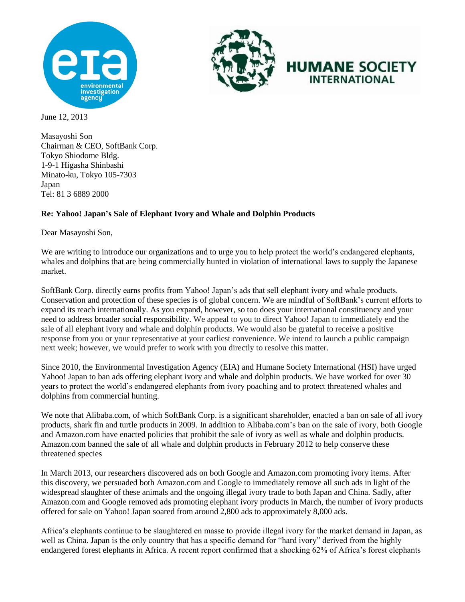



## **HUMANE SOCIETY INTERNATIONAL**

June 12, 2013

Masayoshi Son Chairman & CEO, SoftBank Corp. Tokyo Shiodome Bldg. 1-9-1 Higasha Shinbashi Minato-ku, Tokyo 105-7303 Japan Tel: 81 3 6889 2000

## **Re: Yahoo! Japan's Sale of Elephant Ivory and Whale and Dolphin Products**

Dear Masayoshi Son,

We are writing to introduce our organizations and to urge you to help protect the world's endangered elephants, whales and dolphins that are being commercially hunted in violation of international laws to supply the Japanese market.

SoftBank Corp. directly earns profits from Yahoo! Japan's ads that sell elephant ivory and whale products. Conservation and protection of these species is of global concern. We are mindful of SoftBank's current efforts to expand its reach internationally. As you expand, however, so too does your international constituency and your need to address broader social responsibility. We appeal to you to direct Yahoo! Japan to immediately end the sale of all elephant ivory and whale and dolphin products. We would also be grateful to receive a positive response from you or your representative at your earliest convenience. We intend to launch a public campaign next week; however, we would prefer to work with you directly to resolve this matter.

Since 2010, the Environmental Investigation Agency (EIA) and Humane Society International (HSI) have urged Yahoo! Japan to ban ads offering elephant ivory and whale and dolphin products. We have worked for over 30 years to protect the world's endangered elephants from ivory poaching and to protect threatened whales and dolphins from commercial hunting.

We note that Alibaba.com, of which SoftBank Corp. is a significant shareholder, enacted a ban on sale of all ivory products, shark fin and turtle products in 2009. In addition to Alibaba.com's ban on the sale of ivory, both Google and Amazon.com have enacted policies that prohibit the sale of ivory as well as whale and dolphin products. Amazon.com banned the sale of all whale and dolphin products in February 2012 to help conserve these threatened species

In March 2013, our researchers discovered ads on both Google and Amazon.com promoting ivory items. After this discovery, we persuaded both Amazon.com and Google to immediately remove all such ads in light of the widespread slaughter of these animals and the ongoing illegal ivory trade to both Japan and China. Sadly, after Amazon.com and Google removed ads promoting elephant ivory products in March, the number of ivory products offered for sale on Yahoo! Japan soared from around 2,800 ads to approximately 8,000 ads.

Africa's elephants continue to be slaughtered en masse to provide illegal ivory for the market demand in Japan, as well as China. Japan is the only country that has a specific demand for "hard ivory" derived from the highly endangered forest elephants in Africa. A recent report confirmed that a shocking 62% of Africa's forest elephants